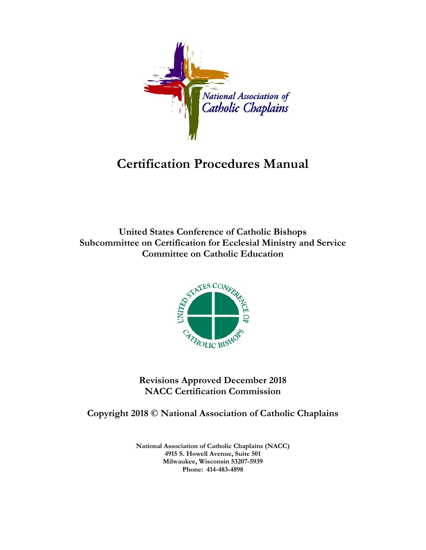

# **Certification Procedures Manual**

**United States Conference of Catholic Bishops Subcommittee on Certification for Ecclesial Ministry and Service Committee on Catholic Education** 



**Revisions Approved December 2018 NACC Certification Commission** 

**Copyright 2018 © National Association of Catholic Chaplains** 

**National Association of Catholic Chaplains (NACC) 4915 S. Howell Avenue, Suite 501 Milwaukee, Wisconsin 53207-5939 Phone: 414-483-4898**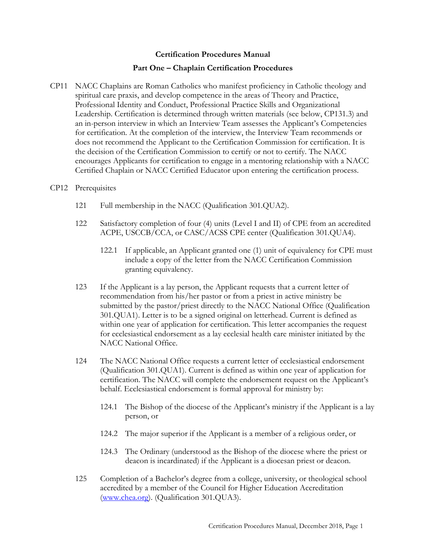# **Certification Procedures Manual**

# **Part One – Chaplain Certification Procedures**

CP11 NACC Chaplains are Roman Catholics who manifest proficiency in Catholic theology and spiritual care praxis, and develop competence in the areas of Theory and Practice, Professional Identity and Conduct, Professional Practice Skills and Organizational Leadership. Certification is determined through written materials (see below, CP131.3) and an in-person interview in which an Interview Team assesses the Applicant's Competencies for certification. At the completion of the interview, the Interview Team recommends or does not recommend the Applicant to the Certification Commission for certification. It is the decision of the Certification Commission to certify or not to certify. The NACC encourages Applicants for certification to engage in a mentoring relationship with a NACC Certified Chaplain or NACC Certified Educator upon entering the certification process.

## CP12 Prerequisites

- 121 Full membership in the NACC (Qualification 301.QUA2).
- 122 Satisfactory completion of four (4) units (Level I and II) of CPE from an accredited ACPE, USCCB/CCA, or CASC/ACSS CPE center (Qualification 301.QUA4).
	- 122.1 If applicable, an Applicant granted one (1) unit of equivalency for CPE must include a copy of the letter from the NACC Certification Commission granting equivalency.
- 123 If the Applicant is a lay person, the Applicant requests that a current letter of recommendation from his/her pastor or from a priest in active ministry be submitted by the pastor/priest directly to the NACC National Office (Qualification 301.QUA1). Letter is to be a signed original on letterhead. Current is defined as within one year of application for certification. This letter accompanies the request for ecclesiastical endorsement as a lay ecclesial health care minister initiated by the NACC National Office.
- 124 The NACC National Office requests a current letter of ecclesiastical endorsement (Qualification 301.QUA1). Current is defined as within one year of application for certification. The NACC will complete the endorsement request on the Applicant's behalf. Ecclesiastical endorsement is formal approval for ministry by:
	- 124.1 The Bishop of the diocese of the Applicant's ministry if the Applicant is a lay person, or
	- 124.2 The major superior if the Applicant is a member of a religious order, or
	- 124.3 The Ordinary (understood as the Bishop of the diocese where the priest or deacon is incardinated) if the Applicant is a diocesan priest or deacon.
- 125 Completion of a Bachelor's degree from a college, university, or theological school accredited by a member of the Council for Higher Education Accreditation (www.chea.org). (Qualification 301.QUA3).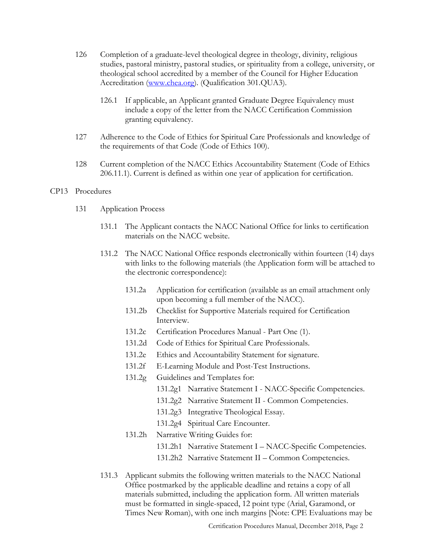- 126 Completion of a graduate-level theological degree in theology, divinity, religious studies, pastoral ministry, pastoral studies, or spirituality from a college, university, or theological school accredited by a member of the Council for Higher Education Accreditation (www.chea.org). (Qualification 301.QUA3).
	- 126.1 If applicable, an Applicant granted Graduate Degree Equivalency must include a copy of the letter from the NACC Certification Commission granting equivalency.
- 127 Adherence to the Code of Ethics for Spiritual Care Professionals and knowledge of the requirements of that Code (Code of Ethics 100).
- 128 Current completion of the NACC Ethics Accountability Statement (Code of Ethics 206.11.1). Current is defined as within one year of application for certification.

## CP13 Procedures

- 131 Application Process
	- 131.1 The Applicant contacts the NACC National Office for links to certification materials on the NACC website.
	- 131.2 The NACC National Office responds electronically within fourteen (14) days with links to the following materials (the Application form will be attached to the electronic correspondence):
		- 131.2a Application for certification (available as an email attachment only upon becoming a full member of the NACC).
		- 131.2b Checklist for Supportive Materials required for Certification Interview.
		- 131.2c Certification Procedures Manual Part One (1).
		- 131.2d Code of Ethics for Spiritual Care Professionals.
		- 131.2e Ethics and Accountability Statement for signature.
		- 131.2f E-Learning Module and Post-Test Instructions.
		- 131.2g Guidelines and Templates for:
			- 131.2g1 Narrative Statement I NACC-Specific Competencies.
			- 131.2g2 Narrative Statement II Common Competencies.
			- 131.2g3 Integrative Theological Essay.
			- 131.2g4 Spiritual Care Encounter.
		- 131.2h Narrative Writing Guides for:
			- 131.2h1 Narrative Statement I NACC-Specific Competencies.
			- 131.2h2 Narrative Statement II Common Competencies.
	- 131.3 Applicant submits the following written materials to the NACC National Office postmarked by the applicable deadline and retains a copy of all materials submitted, including the application form. All written materials must be formatted in single-spaced, 12 point type (Arial, Garamond, or Times New Roman), with one inch margins [Note: CPE Evaluations may be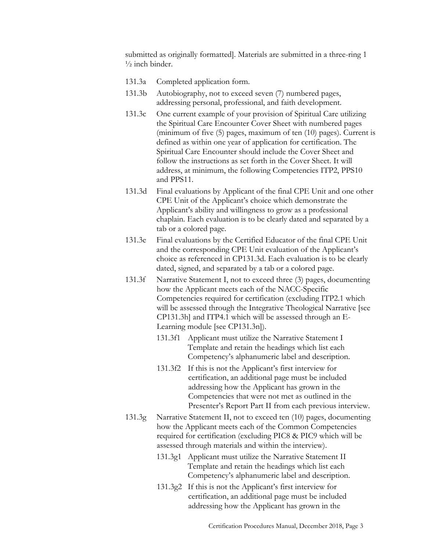submitted as originally formatted]. Materials are submitted in a three-ring 1  $\frac{1}{2}$  inch binder.

- 131.3a Completed application form.
- 131.3b Autobiography, not to exceed seven (7) numbered pages, addressing personal, professional, and faith development.
- 131.3c One current example of your provision of Spiritual Care utilizing the Spiritual Care Encounter Cover Sheet with numbered pages (minimum of five (5) pages, maximum of ten (10) pages). Current is defined as within one year of application for certification. The Spiritual Care Encounter should include the Cover Sheet and follow the instructions as set forth in the Cover Sheet. It will address, at minimum, the following Competencies ITP2, PPS10 and PPS11.
- 131.3d Final evaluations by Applicant of the final CPE Unit and one other CPE Unit of the Applicant's choice which demonstrate the Applicant's ability and willingness to grow as a professional chaplain. Each evaluation is to be clearly dated and separated by a tab or a colored page.
- 131.3e Final evaluations by the Certified Educator of the final CPE Unit and the corresponding CPE Unit evaluation of the Applicant's choice as referenced in CP131.3d. Each evaluation is to be clearly dated, signed, and separated by a tab or a colored page.
- 131.3f Narrative Statement I, not to exceed three (3) pages, documenting how the Applicant meets each of the NACC-Specific Competencies required for certification (excluding ITP2.1 which will be assessed through the Integrative Theological Narrative [see CP131.3h] and ITP4.1 which will be assessed through an E-Learning module [see CP131.3n]).
	- 131.3f1 Applicant must utilize the Narrative Statement I Template and retain the headings which list each Competency's alphanumeric label and description.
	- 131.3f2 If this is not the Applicant's first interview for certification, an additional page must be included addressing how the Applicant has grown in the Competencies that were not met as outlined in the Presenter's Report Part II from each previous interview.
- 131.3g Narrative Statement II, not to exceed ten (10) pages, documenting how the Applicant meets each of the Common Competencies required for certification (excluding PIC8 & PIC9 which will be assessed through materials and within the interview).
	- 131.3g1 Applicant must utilize the Narrative Statement II Template and retain the headings which list each Competency's alphanumeric label and description.
	- 131.3g2 If this is not the Applicant's first interview for certification, an additional page must be included addressing how the Applicant has grown in the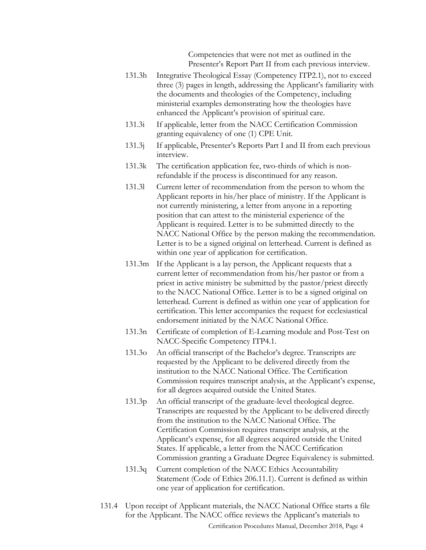Competencies that were not met as outlined in the Presenter's Report Part II from each previous interview.

- 131.3h Integrative Theological Essay (Competency ITP2.1), not to exceed three (3) pages in length, addressing the Applicant's familiarity with the documents and theologies of the Competency, including ministerial examples demonstrating how the theologies have enhanced the Applicant's provision of spiritual care.
- 131.3i If applicable, letter from the NACC Certification Commission granting equivalency of one (1) CPE Unit.
- 131.3j If applicable, Presenter's Reports Part I and II from each previous interview.
- 131.3k The certification application fee, two-thirds of which is nonrefundable if the process is discontinued for any reason.
- 131.3l Current letter of recommendation from the person to whom the Applicant reports in his/her place of ministry. If the Applicant is not currently ministering, a letter from anyone in a reporting position that can attest to the ministerial experience of the Applicant is required. Letter is to be submitted directly to the NACC National Office by the person making the recommendation. Letter is to be a signed original on letterhead. Current is defined as within one year of application for certification.
- 131.3m If the Applicant is a lay person, the Applicant requests that a current letter of recommendation from his/her pastor or from a priest in active ministry be submitted by the pastor/priest directly to the NACC National Office. Letter is to be a signed original on letterhead. Current is defined as within one year of application for certification. This letter accompanies the request for ecclesiastical endorsement initiated by the NACC National Office.
- 131.3n Certificate of completion of E-Learning module and Post-Test on NACC-Specific Competency ITP4.1.
- 131.3o An official transcript of the Bachelor's degree. Transcripts are requested by the Applicant to be delivered directly from the institution to the NACC National Office. The Certification Commission requires transcript analysis, at the Applicant's expense, for all degrees acquired outside the United States.
- 131.3p An official transcript of the graduate-level theological degree. Transcripts are requested by the Applicant to be delivered directly from the institution to the NACC National Office. The Certification Commission requires transcript analysis, at the Applicant's expense, for all degrees acquired outside the United States. If applicable, a letter from the NACC Certification Commission granting a Graduate Degree Equivalency is submitted.
- 131.3q Current completion of the NACC Ethics Accountability Statement (Code of Ethics 206.11.1). Current is defined as within one year of application for certification.
- Certification Procedures Manual, December 2018, Page 4 131.4 Upon receipt of Applicant materials, the NACC National Office starts a file for the Applicant. The NACC office reviews the Applicant's materials to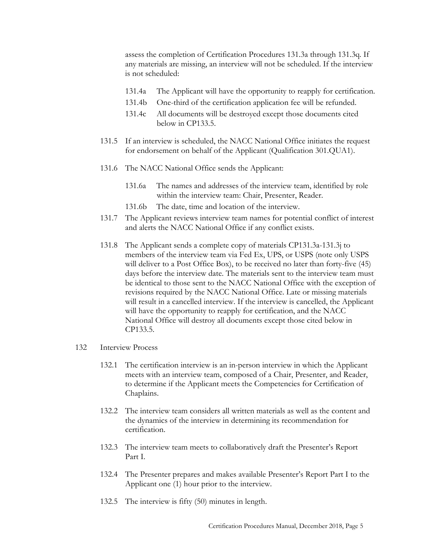assess the completion of Certification Procedures 131.3a through 131.3q. If any materials are missing, an interview will not be scheduled. If the interview is not scheduled:

- 131.4a The Applicant will have the opportunity to reapply for certification.
- 131.4b One-third of the certification application fee will be refunded.
- 131.4c All documents will be destroyed except those documents cited below in CP133.5.
- 131.5 If an interview is scheduled, the NACC National Office initiates the request for endorsement on behalf of the Applicant (Qualification 301.QUA1).
- 131.6 The NACC National Office sends the Applicant:
	- 131.6a The names and addresses of the interview team, identified by role within the interview team: Chair, Presenter, Reader.
	- 131.6b The date, time and location of the interview.
- 131.7 The Applicant reviews interview team names for potential conflict of interest and alerts the NACC National Office if any conflict exists.
- 131.8 The Applicant sends a complete copy of materials CP131.3a-131.3j to members of the interview team via Fed Ex, UPS, or USPS (note only USPS will deliver to a Post Office Box), to be received no later than forty-five (45) days before the interview date. The materials sent to the interview team must be identical to those sent to the NACC National Office with the exception of revisions required by the NACC National Office. Late or missing materials will result in a cancelled interview. If the interview is cancelled, the Applicant will have the opportunity to reapply for certification, and the NACC National Office will destroy all documents except those cited below in CP133.5.

### 132 Interview Process

- 132.1 The certification interview is an in-person interview in which the Applicant meets with an interview team, composed of a Chair, Presenter, and Reader, to determine if the Applicant meets the Competencies for Certification of Chaplains.
- 132.2 The interview team considers all written materials as well as the content and the dynamics of the interview in determining its recommendation for certification.
- 132.3 The interview team meets to collaboratively draft the Presenter's Report Part I.
- 132.4 The Presenter prepares and makes available Presenter's Report Part I to the Applicant one (1) hour prior to the interview.
- 132.5 The interview is fifty (50) minutes in length.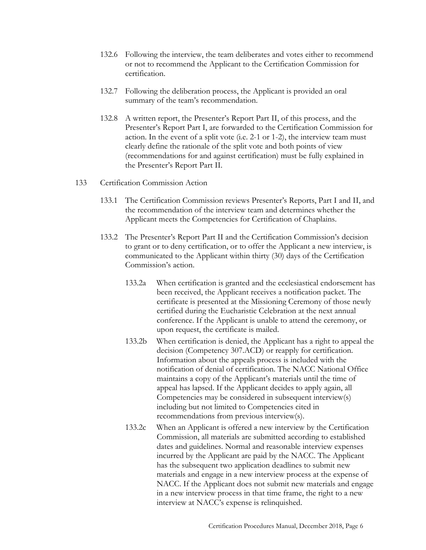- 132.6 Following the interview, the team deliberates and votes either to recommend or not to recommend the Applicant to the Certification Commission for certification.
- 132.7 Following the deliberation process, the Applicant is provided an oral summary of the team's recommendation.
- 132.8 A written report, the Presenter's Report Part II, of this process, and the Presenter's Report Part I, are forwarded to the Certification Commission for action. In the event of a split vote (i.e. 2-1 or 1-2), the interview team must clearly define the rationale of the split vote and both points of view (recommendations for and against certification) must be fully explained in the Presenter's Report Part II.

## 133 Certification Commission Action

- 133.1 The Certification Commission reviews Presenter's Reports, Part I and II, and the recommendation of the interview team and determines whether the Applicant meets the Competencies for Certification of Chaplains.
- 133.2 The Presenter's Report Part II and the Certification Commission's decision to grant or to deny certification, or to offer the Applicant a new interview, is communicated to the Applicant within thirty (30) days of the Certification Commission's action.
	- 133.2a When certification is granted and the ecclesiastical endorsement has been received, the Applicant receives a notification packet. The certificate is presented at the Missioning Ceremony of those newly certified during the Eucharistic Celebration at the next annual conference. If the Applicant is unable to attend the ceremony, or upon request, the certificate is mailed.
	- 133.2b When certification is denied, the Applicant has a right to appeal the decision (Competency 307.ACD) or reapply for certification. Information about the appeals process is included with the notification of denial of certification. The NACC National Office maintains a copy of the Applicant's materials until the time of appeal has lapsed. If the Applicant decides to apply again, all Competencies may be considered in subsequent interview(s) including but not limited to Competencies cited in recommendations from previous interview(s).
	- 133.2c When an Applicant is offered a new interview by the Certification Commission, all materials are submitted according to established dates and guidelines. Normal and reasonable interview expenses incurred by the Applicant are paid by the NACC. The Applicant has the subsequent two application deadlines to submit new materials and engage in a new interview process at the expense of NACC. If the Applicant does not submit new materials and engage in a new interview process in that time frame, the right to a new interview at NACC's expense is relinquished.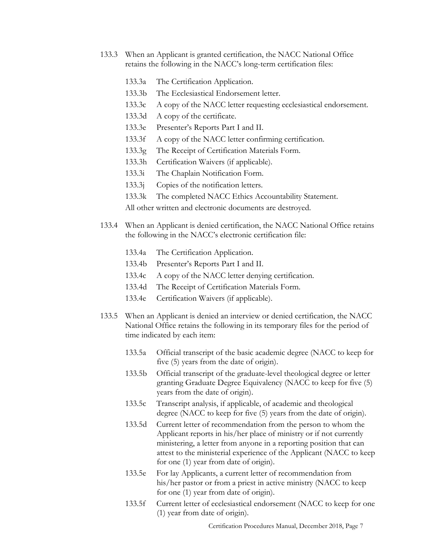- 133.3 When an Applicant is granted certification, the NACC National Office retains the following in the NACC's long-term certification files:
	- 133.3a The Certification Application.
	- 133.3b The Ecclesiastical Endorsement letter.
	- 133.3c A copy of the NACC letter requesting ecclesiastical endorsement.
	- 133.3d A copy of the certificate.
	- 133.3e Presenter's Reports Part I and II.
	- 133.3f A copy of the NACC letter confirming certification.
	- 133.3g The Receipt of Certification Materials Form.
	- 133.3h Certification Waivers (if applicable).
	- 133.3i The Chaplain Notification Form.
	- 133.3j Copies of the notification letters.
	- 133.3k The completed NACC Ethics Accountability Statement.

All other written and electronic documents are destroyed.

- 133.4 When an Applicant is denied certification, the NACC National Office retains the following in the NACC's electronic certification file:
	- 133.4a The Certification Application.
	- 133.4b Presenter's Reports Part I and II.
	- 133.4c A copy of the NACC letter denying certification.
	- 133.4d The Receipt of Certification Materials Form.
	- 133.4e Certification Waivers (if applicable).
- 133.5 When an Applicant is denied an interview or denied certification, the NACC National Office retains the following in its temporary files for the period of time indicated by each item:
	- 133.5a Official transcript of the basic academic degree (NACC to keep for five (5) years from the date of origin).
	- 133.5b Official transcript of the graduate-level theological degree or letter granting Graduate Degree Equivalency (NACC to keep for five (5) years from the date of origin).
	- 133.5c Transcript analysis, if applicable, of academic and theological degree (NACC to keep for five (5) years from the date of origin).
	- 133.5d Current letter of recommendation from the person to whom the Applicant reports in his/her place of ministry or if not currently ministering, a letter from anyone in a reporting position that can attest to the ministerial experience of the Applicant (NACC to keep for one (1) year from date of origin).
	- 133.5e For lay Applicants, a current letter of recommendation from his/her pastor or from a priest in active ministry (NACC to keep for one (1) year from date of origin).
	- 133.5f Current letter of ecclesiastical endorsement (NACC to keep for one (1) year from date of origin).